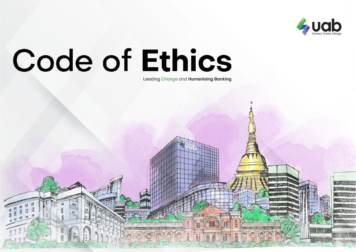

Leading Change and Humanising Banking

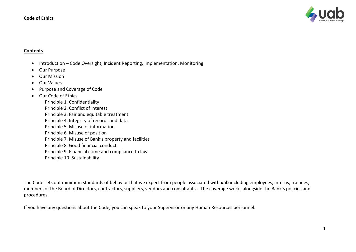

#### **Contents**

- Introduction Code Oversight, Incident Reporting, Implementation, Monitoring
- Our Purpose
- Our Mission
- Our Values
- Purpose and Coverage of Code
- Our Code of Ethics
	- Principle 1. Confidentiality Principle 2. Conflict of interest Principle 3. Fair and equitable treatment Principle 4. Integrity of records and data Principle 5. Misuse of information Principle 6. Misuse of position Principle 7. Misuse of Bank's property and facilities Principle 8. Good financial conduct Principle 9. Financial crime and compliance to law Principle 10. Sustainability

The Code sets out minimum standards of behavior that we expect from people associated with **uab** including employees, interns, trainees, members of the Board of Directors, contractors, suppliers, vendors and consultants . The coverage works alongside the Bank's policies and procedures.

If you have any questions about the Code, you can speak to your Supervisor or any Human Resources personnel.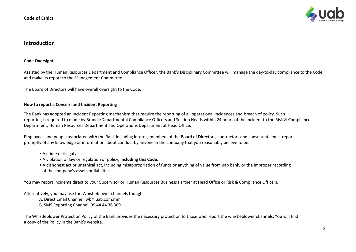

#### **Introduction**

#### **Code Oversight**

Assisted by the Human Resources Department and Compliance Officer, the Bank's Disciplinary Committee will manage the day-to-day compliance to the Code and make its report to the Management Committee.

The Board of Directors will have overall oversight to the Code.

#### **How to report a Concern and Incident Reporting**

The Bank has adopted an Incident Reporting mechanism that require the reporting of all operational incidences and breach of policy. Such reporting is required to made by Branch/Departmental Compliance Officers and Section Heads within 24 hours of the incident to the Risk & Compliance Department, Human Resources Department and Operations Department at Head Office.

Employees and people associated with the Bank including interns, members of the Board of Directors, contractors and consultants must report promptly of any knowledge or information about conduct by anyone in the company that you reasonably believe to be:

- A crime or illegal act.
- A violation of law or regulation or policy**, including this Code**.
- A dishonest act or unethical act, including misappropriation of funds or anything of value from uab bank, or the improper recording of the company's assets or liabilities

You may report incidents direct to your Supervisor or Human Resources Business Partner at Head Office or Risk & Compliance Officers.

Alternatively, you may use the Whistleblower channels though:

A. Direct Email Channel: wb@uab.com.mm B. SMS Reporting Channel: 09 44 44 36 309

The Whistleblower Protection Policy of the Bank provides the necessary protection to those who report the whistleblower channels. You will find a copy of the Policy in the Bank's website.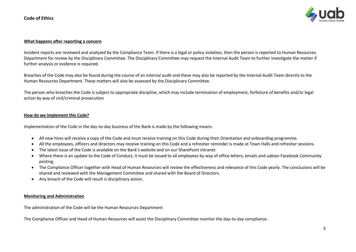

#### **What happens after reporting a concern**

Incident reports are reviewed and analysed by the Compliance Team. If there is a legal or policy violation, then the person is reported to Human Resources Department for review by the Disciplinary Committee. The Disciplinary Committee may request the Internal Audit Team to further investigate the matter if further analysis or evidence is required.

Breaches of the Code may also be found during the course of an internal audit and these may also be reported by the Internal Audit Team directly to the Human Resources Department. These matters will also be assessed by the Disciplinary Committee.

The person who breaches the Code is subject to appropriate discipline, which may include termination of employment, forfeiture of benefits and/or legal action by way of civil/criminal prosecution

#### **How do we implement this Code?**

Implementation of the Code in the day-to-day business of the Bank is made by the following means:

- All new hires will receive a copy of the Code and must receive training on this Code during their Orientation and onboarding programme.
- All the employees, officers and directors may receive training on this Code and a refresher reminder is made at Town Halls and refresher sessions.
- The latest issue of the Code is available on the Bank's website and on our SharePoint intranet
- Where there is an update to the Code of Conduct, it must be issued to all employees by way of office letters, emails and uabian Facebook Community posting.
- The Compliance Officer together with Head of Human Resources will review the effectiveness and relevance of this Code yearly. The conclusions will be shared and reviewed with the Management Committee and shared with the Board of Directors.
- Any breach of the Code will result is disciplinary action.

#### **Monitoring and Administration**

The administration of the Code will be the Human Resources Department

The Compliance Officer and Head of Human Resources will assist the Disciplinary Committee monitor the day-to-day compliance.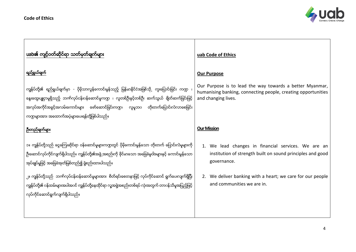

| uab၏ ကျင့်ဝတ်ဆိုင်ရာ သတ်မှတ်ချက်များ                                                                                                                                                                                                                                                                                                                     | uab Code of Ethics                                                                                                                               |
|----------------------------------------------------------------------------------------------------------------------------------------------------------------------------------------------------------------------------------------------------------------------------------------------------------------------------------------------------------|--------------------------------------------------------------------------------------------------------------------------------------------------|
| ရည်ရွယ်ချက်                                                                                                                                                                                                                                                                                                                                              | <b>Our Purpose</b>                                                                                                                               |
| ကျွန်ုပ်တို့၏ ရည်ရွယ်ချက်မှာ - ပိုမိုသာလွန်ကောင်းမွန်သည့် မြန်မာနိုင်ငံအဖြစ်သို့ ကူးပြောင်းခြင်း ကဏ္ဍ ၊<br>နွေးထွေးပျူငှာမူရှိသည့် ဘက်လုပ်ငန်းပန်ဆောင်မှုကဏ္ဍ ၊ လူတစ်ဦးနှင့်တစ်ဦး ဆက်သွယ် ချိတ်ဆက်ခြင်းဖြင့်<br>အလုပ်အကိုင်အခွင့်အလမ်းကောင်းများ ဖော်ဆောင်ခြင်းကဏ္ဍ၊ လူမှုဘဂ တိုးတက်ပြောင်းလဲလာစေခြင်း<br>ကဏ္ဍများအား အထောက်အပံ့များပေးရန်တို့ဖြစ်ပါသည်။ | Our Purpose is to lead the way towards a better Myanmar,<br>humanising banking, connecting people, creating opportunities<br>and changing lives. |
| <u>ဦးတည်ချက်များ</u>                                                                                                                                                                                                                                                                                                                                     | <b>Our Mission</b>                                                                                                                               |
| ၁။ ကျွန်ုပ်တို့သည် ငွေကြေးဆိုင်ရာ ဝန်ဆောင်မှုများကဏ္ဍတွင် ပိုမိုကောင်းမွန်သော တိုးတက် ပြောင်းလဲမှုများကို<br>ဦးဆောင်လုပ်ကိုင်လျက်ရှိပါသည်။ ကျွန်ုပ်တို့၏အဖွဲ့ အစည်းကို ခိုင်မာသော အခြေခံမူဝါဒများနှင့် ကောင်းမွန်သော<br>အုပ်ချုပ်မှုဖြင့် အခြေခံအုတ်မြစ်တည်၍ ဖွဲ့စည်းထားပါသည်။                                                                           | 1. We lead changes in financial services. We are an<br>institution of strength built on sound principles and good<br>governance.                 |
| ၂။ ကျွန်ုပ်တို့သည် ဘက်လုပ်ငန်းဝန်ဆောင်မှုများအား စိတ်ရင်းစေတနာဖြင့် လုပ်ကိုင်ဆောင် ရွက်ပေးလျက်ရှိပြီး<br>ကျွန်ုပ်တို့၏ ဂန်ထမ်းများအပါအဂင် ကျွန်ုပ်တို့နေထိုင်ရာ လူ့အဖွဲ့အစည်းတစ်ရပ် လုံးအတွက် တာဂန်သိမှုအပြည့်ဖြင့်<br>လုပ်ကိုင်ဆောင်ရွက်လျက်ရှိပါသည်။                                                                                                   | 2. We deliver banking with a heart; we care for our people<br>and communities we are in.                                                         |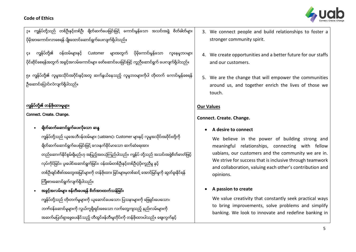

ဉ။ ကျွန်ုပ်တို့သည် တစ်ဦးနှင့်တစ်ဦး ချိတ်ဆက်ပေးခြင်းဖြင့် ကောင်းမွန်သော အသင်းအဖွဲ့ စိတ်ဓါတ်များ ပိုမိုအားကောင်းလာစေရန် ပျိုးထောင်ဆောင်ရွက်ပေးလျက်ရှိပါသည်။ ၄။ ကျွန်ုပ်တို့၏ ဝန်ထမ်းများနှင့် Customer များအတွက် ပိုမိုကောင်းမွန်သော လူနေမှုဘဂများ

ပိုင်ဆိုင်စေရန်အတွက် အခွင့်အလမ်းကောင်းများ ဖော်ဆောင်ပေးခြင်းဖြင့် ကူညီဆောင်ရွက် ပေးလျက်ရှိပါသည်။

၅။ ကျွန်ုပ်တို့၏ လူမှုအသိုင်းအပိုင်းနှင့်အတူ ဆက်နွယ်နေသည့် လူမှုဘဝများကိုပါ တိုးတက် ကောင်းမွန်စေရန် ဦးဆောင်ပြောင်းလဲလျက်ရှိပါသည်။

# ကျွန်ုပ်တို့၏ တန်ဖိုးထားမှုများ

#### Connect. Create. Change.

# - ချိတ်ဆက်ဆောင်ရွက်ပေးလိုသော ဆန္ဒ

ကျွန်ုပ်တို့သည် ယူအေဘီဂန်ထမ်းများ (uabians)၊ Customer များနှင့် လူမှုအသိုင်းအဝိုင်းတို့ကို ချိတ်ဆက်ဆောင်ရွက်ပေးခြင်းဖြင့် လေးနက်ခိုင်မာသော ဆက်ဆံရေးအား တည်ဆောက်နိုင်စွမ်းရှိမည်ဟု အပြည့်အဝယုံကြည်ပါသည်။ ကျွန်ုပ် တို့သည် အသင်းအဖွဲ့စိတ်ဓာတ်ဖြင့် လုပ်ကိုင်ခြင်း၊ ပူးပေါင်းဆောင်ရွက်ခြင်း၊ ဝန်ထမ်းတစ်ဦးနှင့်တစ်ဦးပံ့ပိုးကူညီမှု နှင့် တစ်ဦးချင်းစီဖျ်အတွေးအမြင်များကို တန်ဖိုးထား ခြင်းများမှတစ်ဆင် အောင်မြင်မှုကို ဆွတ်ခူးနိုင်ရန် ၾကိ်ဳ်ားစာ်ားေဆာင္ရြက္လ်က္ရွိပါသည္။

အခွင့်အလမ်းများ ဖန်တီးပေးရန် စိတ်အားထက်သန်ခြင်း ကျွန်ုပ်တို့သည် တိုးတက်မှုများကို ယူဆောင်ပေးသော၊ ပြသနာများကို ဖြေရှင်းပေးသော၊ ဘက်ဝန်ဆောင်မှုများကို လွယ်ကူရိုးရှင်းစေသော လက်တွေ့ကျသည့် နည်းလမ်းများကို အဆက်မပြတ်ရှာဖွေပေးနိုင်သည့် တီထွင်ဖန်တီးမှုတိုင်းကို တန်ဖိုးထားပါသည်။ စျေးကွက်နှင့်

- 3. We connect people and build relationships to foster a stronger community spirit.
- 4. We create opportunities and a better future for our staffs and our customers.
- 5. We are the change that will empower the communities around us, and together enrich the lives of those we touch.

## **Our Values**

## **Connect. Create. Change.**

### • **A desire to connect**

We believe in the power of building strong and meaningful relationships, connecting with fellow uabians, our customers and the community we are in. We strive for success that is inclusive through teamwork and collaboration, valuing each other's contribution and opinions.

### • **A passion to create**

We value creativity that constantly seek practical ways to bring improvements, solve problems and simplify banking. We look to innovate and redefine banking in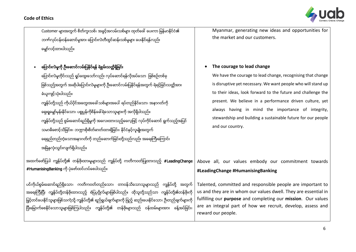

Customer များအတွက် စိတ်ကူးသစ်၊ အခွင်အလမ်းသစ်များ ထုတ်ဖေါ် ပေးကာ မြန်မာနိုင်ငံ၏ ဘဏ်လုပ်ငန်းဝန်ဆောင်မှုအား ပြောင်းလဲတီထွင်ဆန်းသစ်မှုများ ပေးနိုင်ရန်လည်း ေမွ်ာ္လင့္ထာ်ားပါသည္။

## • ပြောင်းလဲမှုကို ဦးဆောင်လမ်းပြနိုင်ရန် ရဲစွမ်းသတ္တိရှိခြင်း

#HumanisingBanking ကို ပုံဖော်ထင်ဟပ်စေပါသည်။

ကြောင်းလဲမှုတိုင်းသည် ရှုပ်ထွေးသော်လည်း လုပ်ဆောင်ရန်လိုအပ်သော ဖြစ်စဉ်တစ်ခု ဖြစ်သည်အတွက် အဆိုပါပြောင်းလဲမှုများကို ဦးဆောင်လမ်းပြနိုင်ရန်အတွက် ရဲရင့်ခြင်းသတ္တိအား ခံယ က်င့္သံု်ားပါသည္။ ကျွန်ုပ်တို့သည် ကိုယ်ပိုင်အတွေးအခေါ် သစ်များအပေါ် ရပ်တည်နိုင်သော၊ အနာဂတ်ကို နေးရှုမျော်မုန်းနိုင်သော၊ ပစ္စုပ္ပန်ကိုစိန်ခေါ်ရဲသောသူများကို အလိုရှိပါသည်။ ကျွန်ုပ်တို့သည် စွမ်းဆောင်ရည်ရှိမှုကို အလေးထားသည့်ဓလေ့ဖြင့် လုပ်ကိုင်ဆောင် ရွက်သည့်အပြင် သမာဓိစောင့်သိခြင်းး၊ ဘဏ္ဍာစိုးစိတ်ဓာတ်ထားရှိခြင်း၊ နိုင်ငံနှင့်လူမျိုးအတွက် ရေရှည်တည်တံ့သောအနာဂတ်ကို တည်ဆောက်ခြင်းတို့သည်လည်း အရေးကြီးကြောင်း အမြဲနွလုံးသွင်းလျက်ရှိပါသည်။

အထက်ဖော်ပြပါ ကျွန်ုပ်တို့၏ တန်ဖိုးထားမှုများသည် ကျွန်ုပ်တို့ ကတိကဝတ်ပြုထားသည့် #LeadingChange

ပင်ကိုယ်စွမ်းဆောင်ရည်ရှိသော၊ ကတိကဝတ်တည်သော၊ တာဝန်သိသောသူများသည် ကျွန်ုပ်တို့ အတွက် အရေးကြီးပြီး ကျွန်ုပ်တို့တန်ဖိုးထားသည့် စံပြပုဂ္ဂိုလ်များဖြစ်ပါသည်။ ထိုသူတို့သည်သာ ကျွန်ုပ်တို့၏တန်ဖိုးကို မြှင့်တင်ပေးနိုင်သူများဖြစ်သကဲ့သို့ ကျွန်ုပ်တို့၏ ရည်ရွယ်ချက်များကို ဖြည့် ဆည်းပေးနိုင်သော၊ ဦးတည်ချက်များကို ပြီးမြောက်စေနိုင်သောသူများဖြစ်ကြပါသည်။ ကျွန်ုပ်တို့၏ တန်ဖိုးများသည် ဝန်ထမ်းများအား ခန့်အပ်ခြင်း၊

Myanmar, generating new ideas and opportunities for the market and our customers.

#### • **The courage to lead change**

We have the courage to lead change, recognising that change is disruptive yet necessary. We want people who will stand up to their ideas, look forward to the future and challenge the present. We believe in a performance driven culture, yet always having in mind the importance of integrity, stewardship and building a sustainable future for our people and our country.

Above all, our values embody our commitment towards **#LeadingChange #HumanisingBanking** 

Talented, committed and responsible people are important to us and they are in whom our values dwell. They are essential in fulfilling our **purpose** and completing our **mission**. Our values are an integral part of how we recruit, develop, assess and reward our people.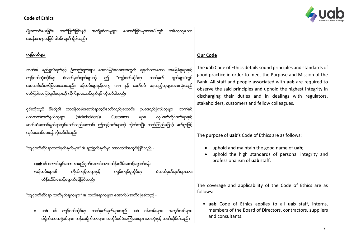

| ပေးအပ်ခြင်းများအပေါ် တွင်<br>ပျိုးထောင်ပေးခြင်း၊<br>အကဲဖြတ်ခြင်းနင့်<br>အကျိုးခံစားမှုများ<br>အဓိကကျသော<br>အခန်းကဏ္ဍအဖြစ် ပါဝင်လျက် ရှိပါသည်။                                                                                                                                                                                                  |                                                                                                                                                                                                                                                                                                                                                                                       |
|------------------------------------------------------------------------------------------------------------------------------------------------------------------------------------------------------------------------------------------------------------------------------------------------------------------------------------------------|---------------------------------------------------------------------------------------------------------------------------------------------------------------------------------------------------------------------------------------------------------------------------------------------------------------------------------------------------------------------------------------|
| ကျင့်ဝတ်များ                                                                                                                                                                                                                                                                                                                                   | Our Code                                                                                                                                                                                                                                                                                                                                                                              |
| ဘက်၏ ရည်ရွယ်ချက်နှင့် ဦးတည်ချက်များ အောင်မြင်စေရေးအတွက် ချမှတ်ထားသော အခြေခံမူများနှင့်<br>"ကျင့်ဝတ်ဆိုင်ရာ<br>စံသတ်မှတ်ချက်များကို ဤ<br>သတ်မှတ်<br>ကျင့်ဝတ်ထုံးဆိုင်ရာ<br>ချက်များ″တွင်<br>အသေးစိတ်ဖော်ပြပေးထားသည်။ ဝန်ထမ်းများနှင့်တကွ uab နှင့် ဆက်စပ် နေသည့်သူများအားလုံးသည်<br>ဖော်ပြပါအခြေခံမူဝါဒများကို လိုက်နာဆောင်ရွက်ရန် လိုအပ်ပါသည်။ | The uab Code of Ethics details sound principles and standards of<br>good practice in order to meet the Purpose and Mission of the<br>Bank. All staff and people associated with uab are required to<br>observe the said principles and uphold the highest integrity in<br>discharging their duties and in dealings with regulators,<br>stakeholders, customers and fellow colleagues. |
| ၄င်းတို့သည် မိမိတို့၏ တာဝန်ထမ်းဆောင်ရာတွင်သော်လည်းကောင်း၊ ဉပဒေစည်းကြပ်သူများ၊ ဘဏ်နှင့်<br>လုပ်ဖော်ကိုင်ဖက်များနှင့်<br>ပတ်သတ်ဆက်နွယ်သူများ<br>(stakeholders)<br>Customers<br>များ၊<br>ဆက်ဆံဆောင်ရွက်ရာတွင်သော်လည်းကောင်း ဤကျင့်ဝတ်များကို လိုက်နာပြီး တည်ကြည်ဖြောင့် မတ်စွာဖြင့်                                                               |                                                                                                                                                                                                                                                                                                                                                                                       |
| လုပ်ဆောင်ပေးရန် လိုအပ်ပါသည်။                                                                                                                                                                                                                                                                                                                   | The purpose of uab's Code of Ethics are as follows:                                                                                                                                                                                                                                                                                                                                   |
| "ကျင့်ဝတ်ဆိုင်ရာသတ်မှတ်ချက်များ" ၏ ရည်ရွက်ချက်မှာ အောက်ပါအတိုင်းဖြစ်သည် -<br>•uab ၏ ကောင်းမွန်သော နာမည်ဂုက်သတင်းအား ထိန်းသိမ်းစောင့်ရှောက်ရန်၊                                                                                                                                                                                                 | uphold and maintain the good name of uab;<br>uphold the high standards of personal integrity and<br>professionalism of uab staff.                                                                                                                                                                                                                                                     |
| ကိုယ်ကျင့်တရားနှင့်<br>∙ဝန်ထမ်းများ၏<br>စံသတ်မှတ်ချက်များအား<br>ကျွမ်းကျင်မှုဆိုင်ရာ<br>ထိန်းသိမ်းစောင့်ရှောက်ရန်ဖြစ်သည်။                                                                                                                                                                                                                      |                                                                                                                                                                                                                                                                                                                                                                                       |
| "ကျင့်ဝတ်ဆိုင်ရာ သတ်မှတ်ချက်များ" ၏ သက်ရောက်မှုမှာ အောက်ပါအတိုင်းဖြစ်သည် -                                                                                                                                                                                                                                                                     | The coverage and applicability of the Code of Ethics are as<br>follows:                                                                                                                                                                                                                                                                                                               |
| ကျင့်ဝတ်ဆိုင်ရာ သတ်မှတ်ချက်များသည်<br>uab ဝန်ထမ်းများ၊<br>အလုပ်သင်များ၊<br>uab<br>ဒါရိုက်တာအဖွဲ့ဝင်များ၊ ကန်ထရိုက်တာများ၊ အတိုင်ပင်ခံအကြံပေးများ အားလုံးနှင့် သက်ဆိုင်ပါသည်။                                                                                                                                                                   | • uab Code of Ethics applies to all uab staff, interns,<br>members of the Board of Directors, contractors, suppliers<br>and consultants.                                                                                                                                                                                                                                              |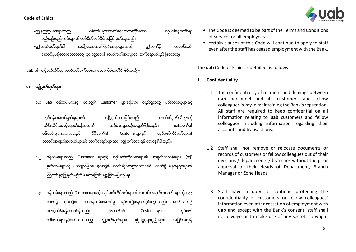

| ဝန်ထမ်းများအားလုံးနှင့်သက်ဆိုင်သော<br>လုပ်ငန်းခွင်ဆိုင်ရာ<br><b>•</b> ဤနည်းဥပဒေများသည်<br>စည်းမျဉ်းစည်းကမ်းများ၏ တစ်စိတ်တစ်ပိုင်းအဖြစ် မှတ်ယူသည်။<br>အချို့သောအကြောင်းအရာများသည်<br>•ဤသတ်မှတ်ချက်ပါ<br>တာဝန်ထမ်း<br>ဤဘက်၌<br>ဆောင်မှုမရှိတော့သော်လည်း ၄င်းတို့အပေါ် ဆက်လက်အကျုံးဝင် သက်ရောက်မည် ဖြစ်သည်။                                                                                                                                        | • The Code is deemed to be part of the Terms and Conditions<br>of service for all employees.<br>• certain clauses of this Code will continue to apply to staff<br>even after the staff has ceased employment with the Bank.                                                                                                                                                                    |
|-------------------------------------------------------------------------------------------------------------------------------------------------------------------------------------------------------------------------------------------------------------------------------------------------------------------------------------------------------------------------------------------------------------------------------------------------|------------------------------------------------------------------------------------------------------------------------------------------------------------------------------------------------------------------------------------------------------------------------------------------------------------------------------------------------------------------------------------------------|
| uab ၏ ကျင့်ဝတ်ဆိုင်ရာ သတ်မှတ်ချက်များမှာ အောက်ပါအတိုင်းဖြစ်သည် -                                                                                                                                                                                                                                                                                                                                                                                | The uab Code of Ethics is detailed as follows:                                                                                                                                                                                                                                                                                                                                                 |
| လျို့ဝှက်ချက်များ<br>O <sub>1</sub><br>uab ဝန်ထမ်းများနှင့် ၄င်းတို့၏ Customer များအကြား တည်ရှိသည့် ပတ်သက်မှုများနှင့်<br>C.C<br>လျို့ဝှက်ထားခြင်းသည်<br>ဘက်၏ဂုက်သိက္ခာကို<br>လုပ်ငန်းဆောင်ရွက်မှုများကို<br>ထိန်းသိမ်းစောင့်ရှောက်ရန်အတွက်<br>အဓိကကျသည့်အချက်ဖြစ်သည်။<br>uabဘက်၏<br>မိမိဘက်၏<br>လုပ်ဖော်ကိုင်ဖက်များ၏<br>ဝန်ထမ်းများအားလုံးသည်<br>Customerများနှင့်<br>သတင်းအချက်အလက်များနှင့် ဘက်စာရင်းများအား လျို့ပုက်ထားရန် တာဝန်ရှိပါသည်။ | Confidentiality<br>1.<br>1.1 The confidentiality of relations and dealings between<br><b>uab</b> personnel and its customers and fellow<br>colleagues is key in maintaining the Bank's reputation.<br>All staff are required to keep confidential on all<br>information relating to uab customers and fellow<br>colleagues including information regarding their<br>accounts and transactions. |
| ဝန်ထမ်းများသည် Customer များနှင့် လုပ်ဖော်ကိုင်ဖက်များ၏ စာရွက်စာတမ်းများ (သို့)<br>O <sub>1</sub><br>မှတ်တမ်းများကို ပယ်ဖျက်ခြင်း၊ ၄င်းတို့၏ သက်ဆိုင်ရာဌာနတာဝန်ခံ၊ ဘက်ခွဲ မန်နေဂျာများ၏<br>ကြိုတင်ခွင့်ပြုချက်မရှိဘဲ နေရာပြောင်းရွှေ့ခြင်းမပြုလုပ်ရ။                                                                                                                                                                                            | Staff shall not remove or relocate documents or<br>$1.2^{\circ}$<br>records of customers or fellow colleagues out of their<br>divisions / departments / branches without the prior<br>approval of their Heads of Department, Branch<br>Manager or Zone Heads.                                                                                                                                  |

- ၁.၃ ဝန်ထမ်းများသည် Customerများနှင့် လုပ်ဖော်ကိုင်ဖက်များ၏ သတင်းအချက်အလက် များကို **uab** ဘဏ်၌ ၄င်းတို့၏ တာဝန်ထမ်းဆောင်မှု ရပ်နားပြီးနောက်ပိုင်းတွင်လည်း ဆက်လက်၍ တေင့်ထိန်းရန်တာဝန်ရှိသည်။ **uab**ဘက်၏ Customerများ၊ လုပ်ဖော် ကိုင်ဖက်များနှင့်ပတ်သက်သည့် လျို့ဝှက်ချက်များ၊ မူပိုင်ခွင့်ရပစ္စည်းများ၊ အပြန်အလှန်
- 1.3 Staff have a duty to continue protecting the confidentiality of customers or fellow colleagues' information even after cessation of employment with **uab** and except with the Bank's consent, staff shall not divulge or to make use of any secret, copyright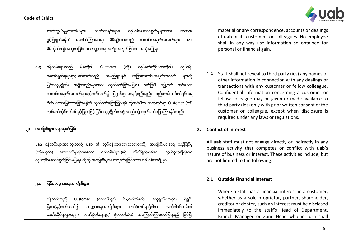

ဆက်သွယ်မှမတ်တမ်းများ၊ ဘဏ်စာရင်းများ၊ လုပ်ငန်းဆောင်ရွက်မှုများအား ဘဏ်၏ ခွင့်ပြုချက်မရှိဘဲ မပေါက်ကြားစေရ။ မိမိရရှိထားသည့် သတင်းအချက်အလက်များ အား မိမိကိုယ်ကျိုးအတွက်ဖြစ်စေ၊ ဘဏ္ဍာရေးအကျိုးအတွက်ဖြစ်စေ အသုံးမပြုရ။

၁.၄ ဝန်ထမ်းများသည် မိမိတို့၏ Customer (သို့) လုပ်ဖော်ကိုင်ဖက်တို့၏၊ လုပ်ငန်း ကောင်ရွက်မှုများနှင့်ပတ်သက်သည့် အမည်များနှင့် အခြားသတင်းအချက်အလက် များကို ပြင်ပလူပုဂ္ဂိုလ်/ အဖွဲ့အစည်းများအား ထုတ်ဖော်ခြင်းမပြုရ။ ဖော်ပြပါ လျို့ဝှက် အပ်သော သတင်းအချက်အလက်များနှင့်ပတ်သက်၍ ပြဌာန်းဥပဒေနှင့်စည်းမျည်း စည်းကမ်းတစ်ရပ်ရပ်အရ ပိတ်ပင်တားမြစ်ထားခြင်းမရှိဘဲ ထုတ်ဖော်ပြောကြားရန် လိုအပ်ပါက သက်ဆိုင်ရာ Customer (သို့) လုပ်ိဖော်ကိုင်ဖက်၏ ခွင့်ပြုစာဖြင့် ပြင်ပလူပုဂ္ဂိုလ်/အဖွဲ့အစည်းသို့ ထုတ်ဖော်ပြောကြားနိုင်သည်။

# အကျိုးစီးပွား ရောယှက်ခြင်း

uab ဝန္ခ်ထမ်းများအားလုံးသည် uab ၏ လုပ္င်ငန်းသဘောသဘာဝ(သိ) အကျိုးစီးပားအရ ယွဥ္ပ်ပြိုင်မ (သိုမဟုတ်) ေရောယုက်မှုဖြစ်နေသော လုပ်ငန်း(များ)နှင် လုပ်ကိုင်ဆောင်ရွက်ခြင်းမပြုရ။ ထိုသို့ အကျိုးစီးပွားရောယုက်မှုဖြစ်သော လုပ်ငန်းအချို့မှာ -

# ၂.၁ ပြင်ပဘဏ္ဍာရေးအကျိုးစီးပွား

ဝန်ထမ်းသည် Customer (လုပ်ငန်းရှင်၊ စီးပွားမိတ်ဖက်၊ အစုရှယ်ယာရှင်၊ မြီရှင် ဖြံ့စား)နှင့်ပတ်သက်၍ ဘကာရေးအကျိုးစီးပား တစ်စံတစ်ရာရှိပါက သက်ဆိုင်ရာဌာနမူူး / ဘဏ်ခွဲမန်နေဂျာ/ ဇုံတာဝန်ခံထံ အကြောင်းကြားတင်ပြရမည် ဖြစ်ပြီး material or any correspondence, accounts or dealings of **uab** or its customers or colleagues. No employee shall in any way use information so obtained for personal or financial gain.

1.4 Staff shall not reveal to third party (ies) any names or other information in connection with any dealings or transactions with any customer or fellow colleague. Confidential information concerning a customer or fellow colleague may be given or made available to third party (ies) only with prior written consent of the customer or colleague, except when disclosure is required under any laws or regulations.

### **2. Conflict of interest**

All **uab** staff must not engage directly or indirectly in any business activity that competes or conflict with **uab**'s nature of business or interest. These activities include, but are not limited to the following:

### **2.1 Outside Financial Interest**

Where a staff has a financial interest in a customer, whether as a sole proprietor, partner, shareholder, creditor or debtor, such an interest must be disclosed immediately to the staff's Head of Department, Branch Manager or Zone Head who in turn shall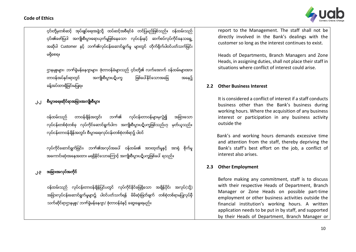

ငှင်းတို့မှတစ်ဆင့် အုပ်ချုပ်ရေးအဖွဲ့သို့ ထပ်ဆင့်အစီရင်ခံ တင်ပြမည်ဖြစ်သည်။ ဝန်ထမ်းသည် ၎င်း၏ဖော်ပြပါ အကျိုးစီးပွားရောယုက်မှုဖြစ်နေသော လုပ်ငန်းနှင့် ဆက်စပ်လုပ်ကိုင်နေသရွေ့ အဆိုပါ Customer နှင့် ဘက်၏လုပ်ငန်းဆောင်ရွက်မှု များတွင် တိုက်ရိုက်ပါဝင်ပတ်သက်ခြင်း မ႐ွိွိေစရ။

ဌာနမူးများ၊ ဘဏ်ခွဲမန်နေဂျာများ၊ ဇုံတာဝန်ခံများသည် ၄င်းတို့၏ လက်အောက် ဝန်ထမ်းများအား တာဝန်အပ်နင်းရာတွင် အကျိုးစီးပွားပဋိပက္ခ ဖြစ်ပေါ်နိုင်သောအခြေ အနေ၌ ခန့်အပ်ထားရွိခြင်းမပြုရ။

# ၂.၂ စီးပွားရေးဆိုင်ရာအခြားအကျိုးစီးပွား

ဝန္ထမ္်ားသည္ တာဝန္ခ်ိန္အတြင္်ား ဘဏ္၏ လုပ္ငန္်ားတာဝန္မ်ာ်ားမွလြဲ၍ အျခာ်ားေသာ လုပ်ငန်းတစ်စုံတစ်ခု လုပ်ကိုင်ဆောင်ရွက်ပါက အကျိုးစီးပွားပဋိပက္ခဖြစ်သည်ဟု မှတ်ယူသည်။ လုပ်ငန်းတာဝန်ချိန်အတွင်း စီးပွားရေးလုပ်ငန်းတစ်စုံတစ်ရာ၌ ပါဝင်

လုပ်ကိုင်ဆောင်ရွက်ခြင်း၊ ဘဏ်၏အလုပ်အပေါ် ဝန်ထမ်း၏ အားထုတ်မှုနှင့် အာရုံ စိုက်မှု အကောင်းဆုံးအနေအထား မရရှိနိုင်သောကြောင့် အကျိုးစီးပွားပဋိပက္ခဖြစ်ပေါ် ရသည်။

# အရြားအလုပ်အကိုင်

ဝန်ထမ်းသည် လုပ်ငန်းတာဝန်ချိန်ပြင်ပတွင် လုပ်ကိုင်နိုင်ခြေရှိသော အချိန်ပိုင်း အခြားလုပ်ငန်းဆောင်ရွက်မှုများ၌ ပါဝင်ပတ်သက်ရန် မိမိဆုံးဖြတ်ချက် တစ်စုံတစ်ရာမပြုလုပ်မှီ သက်ဆိုင်ရာဌာနမှူး/ ဘဏ်ခွဲမန်နေဂျာ/ ဇုံတာဝန်ခံနှင့် ဆွေးနွေးရမည်။

report to the Management. The staff shall not be directly involved in the Bank's dealings with the customer so long as the interest continues to exist.

Heads of Departments, Branch Managers and Zone Heads, in assigning duties, shall not place their staff in situations where conflict of interest could arise.

### **2.2 Other Business Interest**

It is considered a conflict of interest if a staff conducts business other than the Bank's business during working hours. Where the acquisition of any business interest or participation in any business activity outside the

 Bank's and working hours demands excessive time and attention from the staff, thereby depriving the Bank's staff's best effort on the job, a conflict of interest also arises.

#### **2.3 Other Employment**

Before making any commitment, staff is to discuss with their respective Heads of Department, Branch Manager or Zone Heads on possible part-time employment or other business activities outside the financial institution's working hours. A written application needs to be put in by staff, and supported by their Heads of Department, Branch Manager or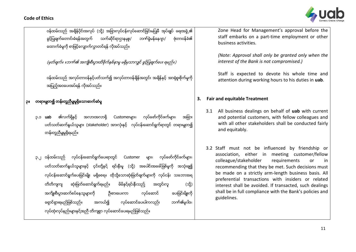

Zone Head for Management's approval before the

ခွင့်ပြုချက်တောင်းခံရန်အတွက် သက်ဆိုင်ရာဌာနမှူး/ ဘဏ်ခွဲမန်နေဂျာ/ ဇုံတာဝန်ခံ၏ ေထာက္ခံမႈကိုစာျဖင့္ေလွ်ာက္လႊာတင္ရန္လိုအပ္သည္။ (မှတ်ချက်။ ။ဘဏ်၏ အကျိုးစီးပွားထိခိုက်နစ်နာမှု မရှိမှသာလျှင် ခွင့်ပြုချက်ပေး ရမည်။) ဝန်ထမ်းသည် အလုပ်တာဝန်နှင့်ပတ်သက်၍ အလုပ်တာဝန်ချိန်အတွင်း အချိန်နှင့် အာရုံစူးစိုက်မှုကို အပြည်အဝပေးအပ်ံရန် လိအပ်ံသည်။ ၁။ – တရားမျတ၍ တန်းတသီမျမရှိသောဆက်ဆံမ ၃.၁ **uab** ၏လက်ရှိနှင့် အလားအလာရှိ Customerများ၊ လုပ်ဖော်ကိုင်ဖက်များ၊ အခြား ပတ်သတ်ဆက်နွယ်သူများ (stakeholder) အားလုံးနင့် လုပ်ငန်းဆောင်ရွက်ရာတွင် တရားမျတ၍ တန်းတူညီမျမရှိရမည်။ ၃.၂ ဝန္ထမ္်ားသည္ လုပ္ငန္်ားေဆာင္ရြက္ေပ်ားရာတြင္ Customer မ်ာ်ား၊ လုပ္ေဖာ္ကိုင္ဖက္မ်ာ်ား၊ ပတ်သတ်ဆက်နွယ်သူများနှင့် ၄င်းတို့နှင့် ရင်းနီးမှု (သို့) အပေါင်းအဖေါ်ဖြစ်မှုကို အသုံးချ၍ လုပ်ငန်းဆောင်ရွက်ပေးခြင်းမျိုး မရှိစေရ။ ထိုသို့သောဆုံးဖြတ်ချက်များကို လုပ်ငန်း သဘောအရ တိတိကျကျ ဆုံးဖြတ်ဆောင်ရွက်ရမည်။ မိမိနင်ရင်းနီးသည် အတွင်းလူ (သို့) အကျိုးစီးပွားဆက်စပ်နေသူများကို ဂိုးစားပေးကာ လုပ်ဆောင် ပေးခြင်းမိုူးကို ေရွာင္ရွာ်ားရမည္ျဖစ္သည္။ အကယ္၍ လုပ္ေဆာင္ေပ်ားပါကလည္်ား ဘဏ္၏မ ၀ါဒ၊ staff embarks on a part-time employment or other business activities. *(Note: Approval shall only be granted only when the interest of the Bank is not compromised.)*  Staff is expected to devote his whole time and attention during working hours to his duties in **uab**. **3. Fair and equitable Treatment** 3.1 All business dealings on behalf of **uab** with current and potential customers, with fellow colleagues and with all other stakeholders shall be conducted fairly and equitably. 3.2 Staff must not be influenced by friendship or association, either in meeting customer/fellow colleague/stakeholder requirements or in recommending that they be met. Such decisions must be made on a strictly arm-length business basis. All preferential transactions with insiders or related interest shall be avoided. If transacted, such dealings shall be in full compliance with the Bank's policies and guidelines.

ဝန်ထမ်းသည် အချိန်ပိုင်းအလုပ် (သို့) အခြားလုပ်ငန်းလုပ်ဆောင်ခြင်းမပြုမီ အုပ်ချုပ် ရေးအဖွဲ့၏

လုပ်ထုံးလုပ်နည်းများနှင့်အညီ တိကျစွာ လုပ်ဆောင်ပေးရမည်ဖြစ်သည်။

11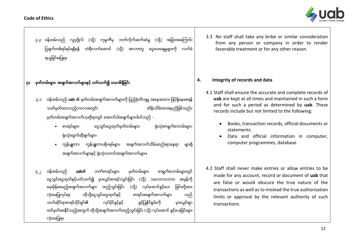

၃.၃ ဝန်ထမ်းသည် လူပုဂ္ဂိုလ် (သို့) ကုမ္ပကီမှ ဘက်လိုက်ဆက်ဆံမှု (သို့) အခြားအကြောင်း ပြချက်တစ်ရပ်ရပ်ရရှိရန် တံစိုးလက်ဆောင် (သို့) အလားတူ ငွေပေးချေမှုများကို လက်ခံ ရယူခြင်းမပြုရ။

## ၄။ မွတ္တမ္်ားမ်ာ်ား၊ အခ်က္အလက္မ်ာ်ားြႏွင့္ ပတ္သက္၍ သမာဓိ႐ွိွိျခင္်ား

- ၄.၁ ဝန်ထမ်းသည် **uab** ၏ မှတ်တမ်းအချက်အလက်များကို ပြည့်စုံတိကျမှု အနေအထား ဖြင့်ရှိနေစေရန် သတ်မှတ်ထားသည့်ကာလအတွင်း ထားသားသား ထိန်းသိမ်းထားရမည်ဖြစ်သည်။ မှတ်တမ်းအချက်အလက်ဟုဆိုရာတွင် အောက်ပါအချက်များပါဝင်သည် -
	- စာအုပ်များ၊ ေငွေသွင်းငွေထုတ်မှတ်တမ်းများ၊ ဂျီးသုံးစာရွက်စာတမ်းများ၊ ရုံးသုံးထွက်ဆိုချက်များ၊
	- ကွန်ပျူတာ၊ ကွန်ပျူတာပရိုဂရမ်များ၊ အချက်အလက်သိမ်းဆည်းရာနေရာ များရိ အချက်အလက်များနှင့် ရုံးသုံးသတင်းအချက်အလက်များ။

၄.၂ ဝန်ထမ်းသည် **uab**၏ ဘဏ်စာရင်းများ၊ မှတ်တမ်းများ၊ စာရွက်စာတမ်းများတွင် ငွေသွင်းငွေထုတ်နှင့်ပတ်သက်၍ မှားယွင်းစာရင်းသွင်းခြင်း (သို့) သဘောသဘာဝ အမှန်ကို မေႏမိုန်စေမည့်အချက်အလက်များ ထည့်သွင်းခြင်း (သို့) လုပ်ဆောင်ခွင့်ပေး ခြင်းတို့အား လုံးဝမပြုလုပ်ရ။ ထိုသို့ငွေသွင်းငွေထုတ်နှင့် စာရင်းအချက်အလက်များ သည် သက်ဆိုင်ရာစာရင်းပိုင်ရှင်၏ လုပ်ပိုင်ခွင့်နှင့် ခွင့်ပြုနိုင်စွမ်းကို မှားယွင်းစွာ ထင်မှတ်စေနိုင်သည့်အတွက် ထိုသို့အချက်အလက်ထည့်သွင်းခြင်း (သို့) လုပ်ဆောင် ခွင့်ပေးခြင်းများ လုံးဝမပြုရ။

3.3 No staff shall take any bribe or similar consideration from any person or company in order to render favorable treatment or for any other reason.

#### **4. Integrity of records and data**

- 4.1 Staff shall ensure the accurate and complete records of **uab** are kept at all times and maintained in such a form and for such a period as determined by **uab**. These records include but not limited to the following:
	- Books, transaction records, official documents or statements
	- Data and official information in computer, computer programmes, database
- 4.2 Staff shall never make entries or allow entries to be made for any account, record or document of **uab** that are false or would obscure the true nature of the transactions as well as to mislead the true authorization limits or approval by the relevant authority of such transactions.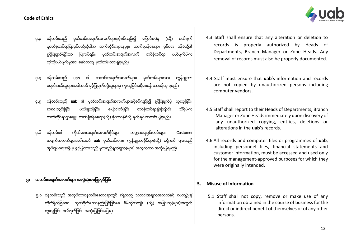

- ၄.၃ ဝန်ထမ်းသည် မှတ်တမ်းအချက်အလက်များနှင့်စပ်လျဉ်း၍ ပြောင်းလဲမှု (သို့) ပယ်ဖျက် မှုတစ်စုံတစ်ရာပြုလုပ်မည်ဆိုပါက သက်ဆိုင်ရာဌာနမူူး၊ ဘဏ်ခွဲမန်နေဂျာ၊ ဇုန်တာ ဝန်ခံတို့၏ ခွင့်ပြုချက်ဖြင့်သာ ပြုလုပ်ရန်။ မှတ်တမ်းအချက်အလက် တစ်စုံတစ်ရာ ပယ်ဖျက်ပါက ထိုသို့ပယ်ဖျက်မှုအား စနစ်တကျ မှတ်တမ်းထားရှိရမည်။
- ၄.၄ ဝန်ထမ်းသည် **uab** ၏ သတင်းအချက်အလက်များ၊ မှတ်တမ်းများအား ကွန်ပျူတာ ရောင်း၀ယ်သူများအပါအဝင် ခွင့်ပြုချက်မရှိသူများမှ ကူးယူခြင်းမရှိစေရန် တာဝန်ယူ ရမည်။
- ၄.၅ ဝန်ထမ်းသည် **uab** ၏ မှတ်တမ်းအချက်အလက်များနှင့်စပ်လျဉ်း၍ ခွင့်ပြုချက်မဲ့ ကူးယူခြင်း၊ စာရင်းသွင်းခြင်း၊ ပယ်ဖျက်ခြင်း၊ ပြောင်းလဲခြင်း တစ်စုံတစ်ရာရှိကြောင်း သိရှိပါက သက်ဆိုင်ရာဌာနမူူး၊ ဘဏ်ခွဲမန်နေဂျာ(သို့) ဇုံတာဝန်ခံသို့ ချက်ချင်းသတင်း ပို့ရမည်။
- ၄.၆ ဝန္ထမ္်ား၏ ကိုယ္ေရ်ားအခ်က္အလက္ဖိုင္မ်ာ်ား၊ ဘ႑ာေရ်ား႐ွိွင္်ားတမ္်ားမ်ာ်ား၊ Customer အချက်အလက်များအပါအဝင် **uab** မှတ်တမ်းများ၊ ကွန်ပျူတာဖိုင်များ(သို့) ပရိုဂရမ် များသည် အုပ်ချုပ်ရေးအဖွဲ့ မှ ခွင့်ပြုထားသည့် မူလရည်ရွက်ချက်(များ) အတွက်သာ အသုံးပြုရမည်။

# ၅။ သတင်းအချက်အလက်များ အလွဲသုံးစားပြုလုပ်ံရြင်း

၅.၁ ဝန်ထမ်းသည် အလုပ်တာဝန်ထမ်းဆောင်ရာတွင် ရရှိသည့် သတင်းအချက်အလက်နှင့် စပ်လျဉ်း၍ တိုက်ရိုက်ဖြစ်စေ၊ သွယ်ဝိုက်သောနည်းဖြင့်ဖြစ်စေ မိမိကိုယ်ကျိုး (သို့) အခြားသူ(များ)အတွက် ကူးယွခြင်း၊ ပယ်ဖျက်ခြင်း၊ အသုံးပြုခြင်းမပြုရ။

- 4.3 Staff shall ensure that any alteration or deletion to records is properly authorized by Heads of Departments, Branch Manager or Zone Heads. Any removal of records must also be properly documented.
- 4.4 Staff must ensure that **uab**'s information and records are not copied by unauthorized persons including computer vendors.
- 4.5 Staff shall report to their Heads of Departments, Branch Manager or Zone Heads immediately upon discovery of any unauthorized copying, entries, deletions or alterations in the **uab**'s records.
- 4.6 All records and computer files or programmes of **uab**, including personnel files, financial statements and customer information, must be accessed and used only for the management-approved purposes for which they were originally intended.

#### **5. Misuse of Information**

5.1 Staff shall not copy, remove or make use of any information obtained in the course of business for the direct or indirect benefit of themselves or of any other persons.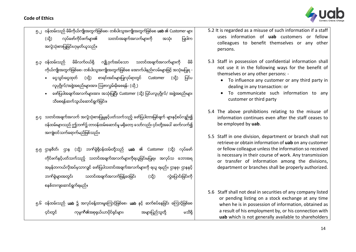

- ၅.၂ ဝန်ထမ်းသည် မိမိကိုယ်ကျိုးအတွက်ဖြစ်စေ၊ တစ်ပါးသူအကျိုးအတွက်ဖြစ်စေ **uab** ၏ Customer များ (သိ) လုပ်ဖော်ကိုင်ဖက်များ၏ သတင်းအချက်အလက်များကို အသုံး ပြုပါက အလွဲသုံးစားပြုခြင်းဟုမှတ်ယူသည်။
- ရ.၃ ဝန်ထမ်းသည် မိမိလက်ဝယ်ရှိ လျှို့ဝှက်အပ်သော သတင်းအချက်အလက်များကို မိမိ ကိုယ်ကျိုးအတွက်ဖြစ်စေ၊ တစ်ပါးသူအကျိုးအတွက်ဖြစ်စေ အောက်ပါနည်းလမ်းများဖြင့် အသုံးမပြုရ -
	- ငွေသွင်းငွေထုတ် (သို့) စာရင်းအင်းများပြုလုပ်ရာတွင် Customer (သို့) ပြင်ပ လူပုဂ္ဂိုလ်/အဖွဲ့အစည်းများအား ဩဇာလွှမ်းမိုးစေရန်၊ (သို့ )
	- ေဖော်ပြပါအချက်အလက်များအား အသုံးပြုပြီး Customer (သို့) ပြင်ပလူပုဂ္ဂိုလ်/ အဖွဲ့အစည်းများ သိစေရန်ဆက်သွယ်ဆောင်ရွက်ခြင်း။
- ၅.၄ သတင်းအချက်အလက် အလွဲသုံးစားပြုမှုနှင့်ပတ်သက်သည့် ဖော်ပြပါတားမြစ်ချက် များနှင့်စပ်လျဉ်း၍ ဝန်ထမ်းများသည် ဤဘဏ်၌ တာဝန်ထမ်းဆောင်မှု မရှိတော့ သော်လည်း ၄င်းတို့အပေါ် ဆက်လက်၍ အကျုံးဝင်သက်ရောက်မည်ဖြစ်သည်။
- ၅.၅ ဌာနစိတ်၊ ဌာန (သို့) ဘဏ်ခဲ့ရွိဝန်ထမ်းတို့သည် **uab** ၏ Customer (သို့) လုပ်ဖော် ကိုင်ဖက်နှင့်ပတ်သက်သည့် သတင်းအချက်အလက်များကိုရယူခြင်းမပြုရ။ အလုပ်သ ဘောအရ အမှန်တကယ်လိုအပ်မှသာလျှင် ဖော်ပြပါသတင်းအချက်အလက်များကို ရယူ ရမည်။ ဌာနစု၊ ဌာနနှင့် ဘဏ်ခွဲများအတွင်း သတင်းအချက်အလက်ဖြန့်ဝေခြင်း (သို့) လွဲပြောင်းခြင်းကို စနစ္တက်ေဆာင္ရြက္ရမည္။
- ရ.၆ ဝန်ထမ်းသည် **uab** ၌ အလုပ်ခန့်ထားမှုကြောင့်ဖြစ်စေ၊ **uab** နှင့် ဆက်စပ်နေခြင်း ကြောင့်ဖြစ်စေ င္ိုးတွင် ကုမ္ပဏီ၏အစုရှယ်ယာပိုင်ရှင်များ၊ အများပြည်သူတို့ မသိရှိ
- 5.2 It is regarded as a misuse of such information if a staff uses information of **uab** customers or fellow colleagues to benefit themselves or any other persons.
- 5.3 Staff in possession of confidential information shall not use it in the following ways for the benefit of themselves or any other persons: -
	- To influence any customer or any third party in dealing in any transaction: or
	- To communicate such information to any customer or third party
- 5.4 The above prohibitions relating to the misuse of information continues even after the staff ceases to be employed by **uab**.
- 5.5 Staff in one division, department or branch shall not retrieve or obtain information of **uab** on any customer or fellow colleague unless the information so received is necessary in their course of work. Any transmission or transfer of information among the divisions, department or branches shall be properly authorized.
- 5.6 Staff shall not deal in securities of any company listed or pending listing on a stock exchange at any time when he is in possession of information, obtained as a result of his employment by, or his connection with **uab** which is not generally available to shareholders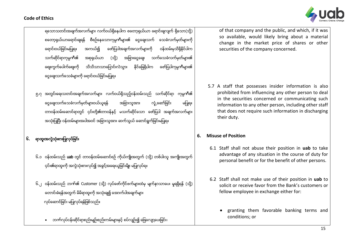

ရသောသတင်းအချက်အလက်များ လက်ဝယ်ရိနေပါက စတော့ရယ်ယာ ရောင်းချလျက် ရှိသော(သို့) စတော့ရှယ်ယာရောင်းချရန် စီစဉ်နေသောကုမ္ပဏီများ၏ ငွေချေးသက် သေခံလက်မှတ်များကို ရောင်းဝယ်ခြင်းမပြုရ။ အကယ်၍ ဗော်ပြပါအချက်အလက်များကို ဝန်ထမ်းမှသိရှိနိုင်ပါက သက်ဆိုင်ရာကုမ္ပကီ၏ အစုရှယ်ယာ (သို့) အခြားငွေချေး သက်သေခံလက်မှတ်များ၏ စျေးကွက်ပေါက်စျေးကို သိသိသာသာပြောင်းလဲသွား နိုင်ခြေရှိပါက ဖော်ပြပါကုမ္ပဏီများ၏ ေငြေခ််ားသက္ေသခံမ်ာ်ားကိုေရာင္်ားဝယ္ျခင္်ားမျပ်ဳရ။

၅.၇ အတွင်းရေးသတင်းအချက်အလက်များ လက်ဝယ်ရှိသည့်ဝန်ထမ်းသည် သက်ဆိုင်ရာ ကုမ္ပဏီ၏ ငွေချေးသက်သေခံလက်မှတ်များဝယ်ယူရန် အခြားသူအား လှံု့ဆော်ခြင်း မပြုရ။ တာဝန်ထမ်းဆောင်ရာတွင် ၄င်းတို့၏တာဝန်နှင့် မသက်ဆိုင်သော ဖော်ပြပါ အချက်အလက်များ အသုံးပြုပြီး ဝန်ထမ်းများအပါအဝင် အခြားသူအား ဆက်သွယ် ဆောင်ရွက်ခြင်းမပြုရ။

# ၆. ရာထူးအလဲသုံးစားပြုလုပ်ခြင်

- ၆.၁ ဝန်ထမ်းသည် uab တွင် တာဝန်ထမ်းဆောင်စဉ် ကိုယ်ကျိုးအတွက် (သို့) တစ်ပါးသူ အကျိုးအတွက် ၄င်း၏ရာထူးကို အလွဲသုံးစားလုပ်၍ အခွင့်အရေးယူခြင်းမိူး မပြုလုပ်ရ။
- ၆.၂ ဝန်ထမ်းသည် ဘက်၏ Customer (သို့) လုပ်ဖော်ကိုင်ဖက်များထံမှ မျက်နာသာပေး မူရရှိရန် (သို့) တောင်းခံရန်အတွက် မိမိရာထူးကို အသုံးချ၍ အောက်ပါအချက်များ လုပ်ိဆောင်ခြင်း မပြုလုပ်ရန်ဖြစ်သည်။
	- ဘဏ်လုပ်ငန်းဆိုင်ရာစည်းမျဉ်းစည်းကမ်းများနှင့် စပ်လျဉ်း၍ ဖြေလျော့ပေးခြင်း၊

of that company and the public, and which, if it was so available, would likely bring about a material change in the market price of shares or other securities of the company concerned.

5.7 A staff that possesses insider information is also prohibited from influencing any other person to deal in the securities concerned or communicating such information to any other person, including other staff that does not require such information in discharging their duty.

## **6. Misuse of Position**

- 6.1 Staff shall not abuse their position in **uab** to take advantage of any situation in the course of duty for personal benefit or for the benefit of other persons.
- 6.2 Staff shall not make use of their position in **uab** to solicit or receive favor from the Bank's customers or fellow employee in exchange either for:
	- granting them favorable banking terms and conditions; or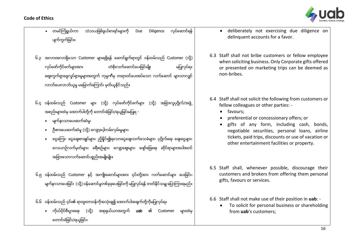

- တမင္ၾကံရြယ္ကာ သံသယျဖစ္ဖြယ္စာရင္်ားမ်ာ်ားကို Due Diligence လုပ္ေဆာင္ရန္ ပျက်ကွက်ခြင်း။
- ၆.၁ အလားအလာရှိသော Customer များရရှိရန် ဆောင်ရွက်ရာတွင် ဝန်ထမ်းသည် Customer (သို့) လုပ်ဖော်ကိုင်ဖက်များအား တံစိုးလက်ဆောင်ပေးခြင်းမျိုး မပြုလုပ်ရ။ ဓဈးကွက်ရှာဖွေလှုပ်ရှားမှုများအတွက် ကုမ္ပဏီမှ တရားဝင်ပေးအပ်သော လက်ဆောင် များသာလျှင် လာဘ်ပေးလာဘ်ယူမှ မမြောက်ကြောင်း မှတ်ယူနိုင်သည်။
- ၆.၄ ဝန်ထမ်းသည် Customer များ (သို့) လုပ်ဖော်ကိုင်ဖက်များ (သို့) အခြားလူပုဂ္ဂိုလ်/အဖွဲ့ အစည်းများထံမှ အောက်ပါတို့ကို တောင်းခံခြင်း/ရယူခြင်းမပြုရ -
	- မျက်နာသာပေးဆက်ဆံမှ၊
	- ဉီးစားပေးဆက်ဆံမှ (သို့) လျော့ပေ့ါကမ်းလှမ်းမှုများ၊
	- ေငွေကြေး၊ ငွေချေးစာချုပ်များ၊ ညှိနိူင်း၍ရသောငွေချေးသက်သေခံများ၊ ပုဂ္ဂိုလ်ရေး ချေးငွေများ၊ ေလယာဉ်လက်မှတ်များ၊ ခရီးစဉ်များ၊ လျော့စျေးများ၊ ဖျော်ဖြေရေး ဆိုင်ရာများအပါအဝင် အခြားသောလက်ဆောင်ပစ္စည်းအမျိုးမျိုး။
- ၆.၅ ဝန်ထမ်းသည် Customer နှင့် အကျိုးဆောင်များအား ၎င်းတို့အား လက်ဆောင်များ ပေးခြင်း၊ မျက်နာသာပေးခြင်း (သို့) ဝန်ဆောင်မှုတစ်ခုခုပေးခြင်းကို မပြုလုပ်ရန် တတ်နိုင်သမျှ ပြောကြားရမည်။
- ၆.၆ ဝန်ထမ်းသည် ၄င်း၏ ရာထူးတာဝန်ကိုအသုံးချ၍ အောက်ပါအချက်တို့ကိုမပြုလုပ်ရ။
	- ကိုယ်ပိုင်စီးပွားရေး (သို့) အစုရှယ်ယာအတွက် **uab** ၏ Customer များထံမှ ေတာင္်ားခံျခင္်ား/ရယ ျခင္်ား၊
- deliberately not exercising due diligence on delinquent accounts for a favor.
- 6.3 Staff shall not bribe customers or fellow employee when soliciting business. Only Corporate gifts offered or presented on marketing trips can be deemed as non-bribes.
- 6.4 Staff shall not solicit the following from customers or fellow colleagues or other parties: -
	- favours;
	- preferential or concessionary offers; or
	- gifts of any form, including cash, bonds, negotiable securities, personal loans, airline tickets, paid trips, discounts or use of vacation or other entertainment facilities or property.
- 6.5 Staff shall, whenever possible, discourage their customers and brokers from offering them personal gifts, favours or services.
- 6.6 Staff shall not make use of their position in **uab**:
	- To solicit for personal business or shareholding from **uab**'s customers;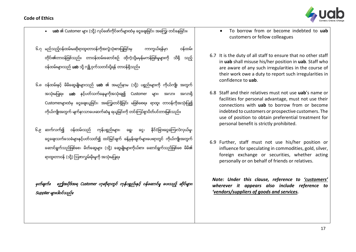

- uab ၏ Customer များ (သို) လုပ်ဖော်ကိုင်ဖက်များထံမှ ငွေချေးခြင်း၊ အကြေး တင်နေခြင်း။
- ၆.၇ မည်သည့်ဝန်ထမ်းမဆိုရာထူးတာဝန်ကိုအလွဲသုံးစားပြုခြင်းမှ ကာကွယ်ရန်မှာ ဝန်ထမ်း တိုင်း၏တာဝန်ဖြစ်သည်။ တာဝန်ထမ်းဆောင်စဉ် ထိုကဲ့သို့မမှန်မကန်ဖြစ်မှုများကို သိရှိ သည့် ဝန်ထမ်းများသည် **uab** သို့ လျို့ဝှက်သတင်းပို့ရန် တာဝန်ရှိသည်။
- ၆.၈ ဝန်ထမ်းနှင့် မိမိဆွေမျိုးများသည် **uab** ၏ အမည်နာမ (သို့) ပစ္စည်းများကို ကိုယ်ကျိုး အတွက် အသုံးမပြုရ။ uab နှင့်ပတ်သက်နေမှုကိုအသုံးချ၍ Customer များ၊ အလား အလာရှိ Customerများထံမှ ငွေချေးယူခြင်း၊ အကြွေးတင်ရှိခြင်း မဖြစ်စေရ။ ရာထူး တာဝန်ကိုအသုံးပြု၍ ကိုယ်ကျိုးအတွက် မျက်နာသာပေးဆက်ဆံမှ ရယူခြင်းကို တင်းကြပ်စွာပိတ်ပင်တားမြစ်သည်။
- ၆.၉ ဆက်လက်၍ ဝန်ထမ်းသည် ကုန်ပစ္စည်းများ၊ ဓရွ၊ ဓင္မ၊ နိုင်ငံခြားငွေကြေးလဲလှယ်မှု၊ ငွေချေးသက်သေခံများနှင့်ပတ်သတ်၍ ထင်မြင်ချက် ခန့်မှန်းချက်များပေးရာတွင် ကိုယ်ကျိုးအတွက် ေဆာင္ရြက္သည္ျဖစ္ေစ၊ မိတ္ေဆြမ်ာ်ား (သို႔) ေဆြမ််ဳိ်ားမ်ာ်ားကိုယ္စာ်ား ေဆာင္ရြက္သည္ျဖစ္ေစ မိမိ၏ ရာထူးတာဝန် (သို့) ဩဇာလွှမ်းမိုးမှုကို အသုံးမပြုရ။

။ဤအပိုဒ်အရ Customer ဟုဆိုရာတွင် ကုန်ပစ္စည်းနှင့် ဝန်ဆောင်မှု ပေးသည့် ဆိုင်များ၊  $Supplier$ များပါဝင်သည်။

- To borrow from or become indebted to **uab** customers or fellow colleagues
- 6.7 It is the duty of all staff to ensure that no other staff in **uab** shall misuse his/her position in **uab**. Staff who are aware of any such irregularities in the course of their work owe a duty to report such irregularities in confidence to **uab**.
- 6.8 Staff and their relatives must not use **uab**'s name or facilities for personal advantage, must not use their connections with **uab** to borrow from or become indebted to customers or prospective customers. The use of position to obtain preferential treatment for personal benefit is strictly prohibited.
- 6.9 Further, staff must not use his/her position or influence for speculating in commodities, gold, silver, foreign exchange or securities, whether acting personally or on behalf of friends or relatives.

*Note: Under this clause, reference to 'customers' wherever it appears also include reference to 'vendors/suppliers of goods and services.*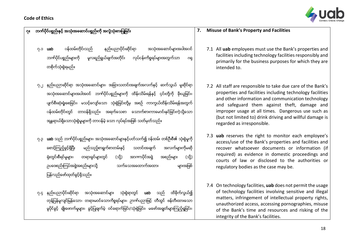

# ၇။ ဘဏ္္ပိုင္္စၥည္းႏွင့္ အသံိုးအေဆာင္္စၥည္းကပို အလ ြဲသံိုးစားျ္ဳျခင္်ား

- ၇.၁ uab ၀န္ထမ္းတိုင္်ားသည္ နည္း္ညာ္ပိုင္းဆပိုင္ရာ အသံိုးအေဆာင္မ္ားအ္ါအ၀င္ ဘဏ်ပိုင်ပစ္စည်းများကို မူလရည်ရွယ်ချက်အတိုင်း လုပ်ငန်းကိစ္စရပ်များအတွက်သာ ဂရု တစိုက်သုံးစဲ့ရမည်။
- ၇.၂ နည်းပညာဆိုင်ရာ အသုံးအဆောင်များ၊ အခြားသတင်းအချက်အလက်နှင့် ဆက်သွယ် မူဆိုင်ရာ အသုံးအဆောင်များအပါအဝင် ဘက်ပိုင်ပစ္စည်းများကို ထိန်းသိမ်းရန်နှင့် ၄င်းတို့ကို ခိုးယူခြင်း၊ ပျက်စီးဆုံးရှုံးစေခြင်း၊ မသင့်လျော်သော သုံးစွဲခြင်းတို့မှ အစဉ် ကာကွယ်ထိန်းသိမ်းရန်အတွက် ဂန်ထမ်းတိုင်းတွင် တာဝန်ရှိသည်။ အရက်သေစာ သောက်စားကာမောင်းနင်ခြင်းကဲ့သို့သော အန္တရာယ်ရှိသောသုံးစွဲမှုများကို တာဂန်မဲ့ သော လုပ်ရပ်အဖြစ် သတ်မှတ်သည်။
- ၇.၃ uab သည္ဘဏ္ပိုင္ပစၥည္်ားမ်ာ်ား၊ အသုံ်ားအေဆာင္မ်ာ်ားြႏွင့္ပတ္သက္၍ ဝန္ထမ္်ား တစ္္ဥ်ားစဥ၏ သုံ်ားစြဲမႈကို စောင့်ကြည့်ခွင့်ရှိပြီး မည်သည့်စာရွက်စာတမ်းနှင့် သတင်းအချက် အလက်များကိုမဆို ရုံးတွင်းစီရင်မှုများ၊ တရားခွင်များတွင် (သို့) အာဏာပိုင်အဖွဲ့ အစည်းများ (သို့) ှာပဒေစည်းကြပ်အဖွဲ့အစည်းများသို့ သက်သေအထောက်အထား များအဖြစ် ပြန်လည်ဖော်ထုတ်ခွင့်ရှိသည်။
- ၇.၄ နည်းပညာပိုင်းဆိုင်ရာ အသုံးအဆောင်များ သုံးစွဲရာတွင် **uab** သည် ထိခိုက်လွယ်၍ တုန္န်ပြန်မှုလျင်မြန်သော၊ တရားမဝင်သောကိစ္စရပ်များ၊ ဉာဏ်ပညာဖြင့် တီထွင် ဖန်တီးထားသော မပိုင်ခွင့် ချိုးဖောက်မှုများ၊ ခွင့်ပြုချက်မဲ့ ဝင်ရောက်ခြင်း/သုံးစွဲခြင်း၊ မဖော်အချွတ်များကြည့်ရှုခြင်း၊

#### **7. Misuse of Bank's Property and Facilities**

- 7.1 All **uab** employees must use the Bank's properties and facilities including technology facilities responsibly and primarily for the business purposes for which they are intended to.
- 7.2 All staff are responsible to take due care of the Bank's properties and facilities including technology facilities and other information and communication technology and safeguard them against theft, damage and improper usage at all times. Dangerous use such as (but not limited to) drink driving and willful damage is regarded as irresponsible.
- 7.3 **uab** reserves the right to monitor each employee's access/use of the Bank's properties and facilities and recover whatsoever documents or information (if required) as evidence in domestic proceedings and courts of law or disclosed to the authorities or regulatory bodies as the case may be.
- 7.4 On technology facilities, **uab** does not permit the usage of technology facilities involving sensitive and illegal matters, infringement of intellectual property rights, unauthorized access, accessing pornographies, misuse of the Bank's time and resources and risking of the integrity of the Bank's facilities.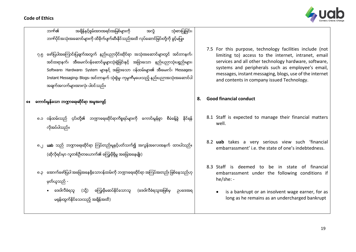|  | <b>Code of Ethics</b> |
|--|-----------------------|
|--|-----------------------|



|    | ဘက်၏<br>အရှိန်နှင့်စွမ်းအားအရင်းအမြစ်များကို<br>သုံးစားပြုခြင်း၊<br>အလွဲ                                                                                                                                                                                                                                                                                                               |    |                                                                                                                                                                                                                                                                                                                                         |
|----|----------------------------------------------------------------------------------------------------------------------------------------------------------------------------------------------------------------------------------------------------------------------------------------------------------------------------------------------------------------------------------------|----|-----------------------------------------------------------------------------------------------------------------------------------------------------------------------------------------------------------------------------------------------------------------------------------------------------------------------------------------|
|    | ဘက်ပိုင်အသုံးအဆောင်များကို ထိခိုက်ပျက်ဆီးနိုင်သည်အထိ လုပ်ဆောင်ခြင်းတို့ကို ခွင့်မပြူ                                                                                                                                                                                                                                                                                                   |    |                                                                                                                                                                                                                                                                                                                                         |
|    | ၇.၅ ဖော်ပြပါအကြောင်းပြချက်အတွက် နည်းပညာပိုင်းဆိုင်ရာ အသုံးအဆောင်များတွင် အင်တာနက်၊<br>အင်ထရာနက်၊ အီးမေးလ်ပန်ဆောင်မှုများသုံးစွဲခြင်းနှင့် အခြားသော နည်းပညာသုံးပစ္စည်းများ၊<br>Software၊ Hardware၊ System များနှင့် အခြားသော ပန်ထမ်းများ၏ အီးမေးလ်၊ Messages၊<br>Instant Messaging၊ Blogs၊ အင်တာနက် သုံးစွဲမှု၊ ကုမ္ပကီမှပေးသည့် နည်းပညာအသုံးအဆောင်ပါ<br>အချက်အလက်များအားလုံး ပါဝင်သည်။ |    | 7.5 For this purpose, technology facilities include (not<br>limiting to) access to the internet, intranet, email<br>services and all other technology hardware, software,<br>systems and peripherals such as employee's email,<br>messages, instant messaging, blogs, use of the internet<br>and contents in company issued Technology. |
| 61 | ကောင်းမွန်သော ဘဏ္ဍာရေးဆိုင်ရာ အမှုအကျင့်                                                                                                                                                                                                                                                                                                                                               | 8. | <b>Good financial conduct</b>                                                                                                                                                                                                                                                                                                           |
|    | ၈.၁ ဝန်ထမ်းသည် ၄င်းတို့၏ ဘဏ္ဍာရေးဆိုင်ရာကိစ္စရပ်များကို ကောင်းမွန်စွာ<br>စီမံခန့်ခွဲ<br>နိုင်ရန်<br>လိုအပ်ပါသည်။                                                                                                                                                                                                                                                                       |    | 8.1 Staff is expected to manage their financial matters<br>well.                                                                                                                                                                                                                                                                        |
|    | ၈.၂ uab သည် ဘဏ္ဍာရေးဆိုင်ရာ ကြပ်တည်းမှုနှင့်ပတ်သက်၍ အလွန်အလေးအနက် ထားပါသည်။<br>(ဆိုလိုရင်းမှာ လူတစ်ဦးတယောက်၏ ကြွေးမှီရှိမှု အခြေအနေမျိုး)                                                                                                                                                                                                                                              |    | 8.2 uab takes a very serious view such 'financial<br>embarrassment' i.e. the state of one's indebtedness.                                                                                                                                                                                                                               |
|    | ၈.၃ အောက်ဖော်ပြပါ အခြေအနေရှိသောဂန်ထမ်းကို ဘဏ္ဍာရေးဆိုင်ရာ အကြပ်အတည်း ဖြစ်နေသည်ဟု<br>မှတ်ယူသည် -                                                                                                                                                                                                                                                                                        |    | 8.3 Staff is deemed to be in state of financial<br>embarrassment under the following conditions if<br>$he/she: -$                                                                                                                                                                                                                       |
|    | ဒေဝါလီခံရသူ<br>(သို့) ကြွေးမှီမဆပ်နိုင်သောသူ (ဒေဝါလီခံရသူအဖြစ်မှ<br>$\bullet$<br>ဥပဒေအရ<br>မရှန်းထွက်နိုင်သေးသည့် အရိန်အထိ)                                                                                                                                                                                                                                                            |    | is a bankrupt or an insolvent wage earner, for as<br>long as he remains as an undercharged bankrupt                                                                                                                                                                                                                                     |
|    |                                                                                                                                                                                                                                                                                                                                                                                        |    |                                                                                                                                                                                                                                                                                                                                         |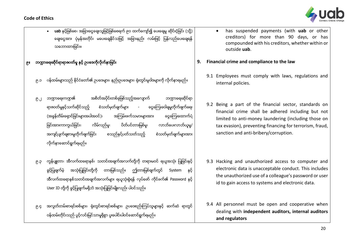

- uab နှင့်ဖြစ်စေ၊ အခြားငွေချေးသူဖြင့်ဖြစ်စေရက် ၉ဝ ထက်ကျော်၍ ပေးချေမှု ဆိုင်းငံ့ခြင်း (သို့) ချေးငွေအား ပုံမှန်အတိုင်း မပေးချေနိုင်သဖြင့် အခြားနည်း လမ်းဖြင့် ပြန်လည်ပေးချေရန် သဘောထားခြင်း။
- ၉။ ဘ႑ာေရးဆပိုင္ရာရာဇ၀တ္မႈ ြႏွင့္ ဥ္ေဒကပိုလပိုက္နာျခင္း
	- ၉.၁ ၀န်ထမ်းများသည် နိုင်ငံတော်၏ ဥပဒေများ၊ နည်းဥပဒေများ၊ ရုံးတွင်းမူဝါဒများကို လိုက်နာရမည်။
	- ၉.၂ ဘဏ္ဟာရေးကဏ္ဍ၏ အစိတ်အပိုင်းတစ်ခုဖြစ်သည့်အလျောက် ဘဏ္ဍာရေးဆိုင်ရာ ရာဇဝတ်မှုနှင့်သက်ဆိုင်သည့် စံသတ်မှတ်ချက်များ - ငွေကြေးခဝါချမှုတိုက်ဖျက်ရေး (အခွန်တိမ်းရှောင်ခြင်းများအပါအဝင်)၊ အကြမ်းဖက်သမားများအား ဓင္ငကြေးထောက်ပံ့ ခြင်းအားကာကွယ်ခြင်း၊ လိမ်လည်မှ၊ ပိတ်ပင်တားမြစ်မှ၊ လာဘ်ပေးလာဘ်ယူမှ/ အကျင့်ပျက်ချစားမှုတိုက်ဖျက်ခြင်း စသည်နှင့်ပတ်သတ်သည့် စံသတ်မှတ်ချက်များအား လိုက္နာေဆာင္ရြက္ရမည္။
	- ၉.၃ ကွန်ပျူတာ၊ အီလက်ထရောနစ်၊ သတင်းအချက်အလက်တို့ကို တရားမဝင် ရယူအသုံး ပြုခြင်းနှင့် ခွင့်ပြုချက်မဲ့ အသုံးပြုခြင်းတို့ကို တားမြစ်သည်။ ဤတားမြစ်ချက်တွင် System နှင့် အီလက်ထရောနစ်သတင်းအချက်အလက်များ ရယူသုံးစွဲရန် လုပ်ဖော် ကိုင်ဖက်၏ Password နှင့် User ID တို့ကို ခွင့်ပြုချက်မရှိဘဲ အသုံးပြုခြင်းမျိုးလည်း ပါဝင်သည်။
	- ၉.၄ အလွတ်တမ်းစာရင်းစစ်များ၊ ရုံးတွင်းစာရင်းစစ်များ၊ ဥပဒေစည်းကြပ်သူများနှင့် ဆက်ဆံ ရာတွင် ဝန်ထမ်းတိုင်းသည် ပွင့်လင်းမြင်သာမရှိစွာ ပူးပေါင်းပါဝင်ဆောင်ရွက်ရမည်။
- has suspended payments (with **uab** or other creditors) for more than 90 days, or has compounded with his creditors, whether within or outside **uab**.
- **9. Financial crime and compliance to the law**
	- 9.1 Employees must comply with laws, regulations and internal policies.
	- 9.2 Being a part of the financial sector, standards on financial crime shall be adhered including but not limited to anti-money laundering (including those on tax evasion), preventing financing for terrorism, fraud, sanction and anti-bribery/corruption.
	- 9.3 Hacking and unauthorized access to computer and electronic data is unacceptable conduct. This includes the unauthorized use of a colleague's password or user id to gain access to systems and electronic data.
	- 9.4 All personnel must be open and cooperative when dealing with **independent auditors, internal auditors and regulators**